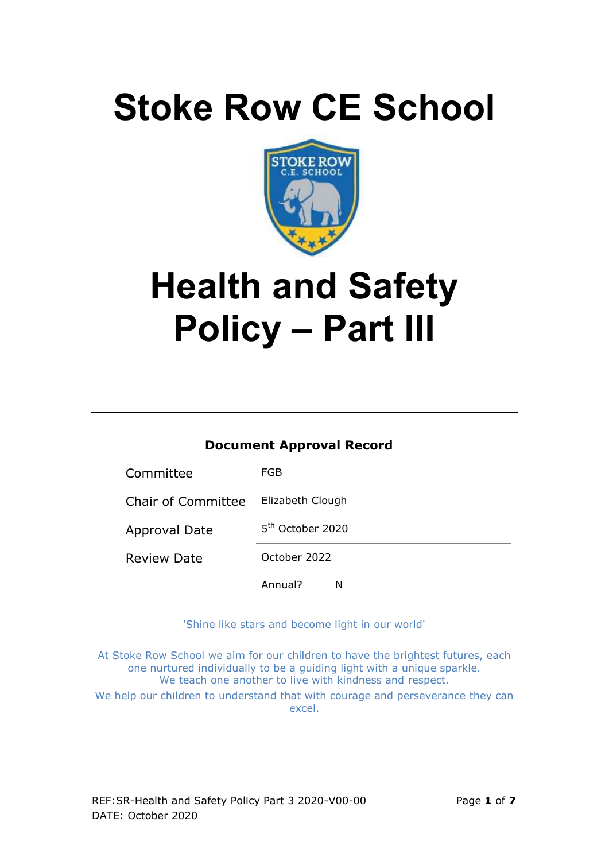# **Stoke Row CE School**



# **Health and Safety Policy – Part III**

#### **Document Approval Record**

| Committee                 | FGB.                         |
|---------------------------|------------------------------|
| <b>Chair of Committee</b> | Elizabeth Clough             |
| <b>Approval Date</b>      | 5 <sup>th</sup> October 2020 |
| <b>Review Date</b>        | October 2022                 |
|                           | Annual?<br>N                 |

'Shine like stars and become light in our world'

At Stoke Row School we aim for our children to have the brightest futures, each one nurtured individually to be a guiding light with a unique sparkle. We teach one another to live with kindness and respect.

We help our children to understand that with courage and perseverance they can excel.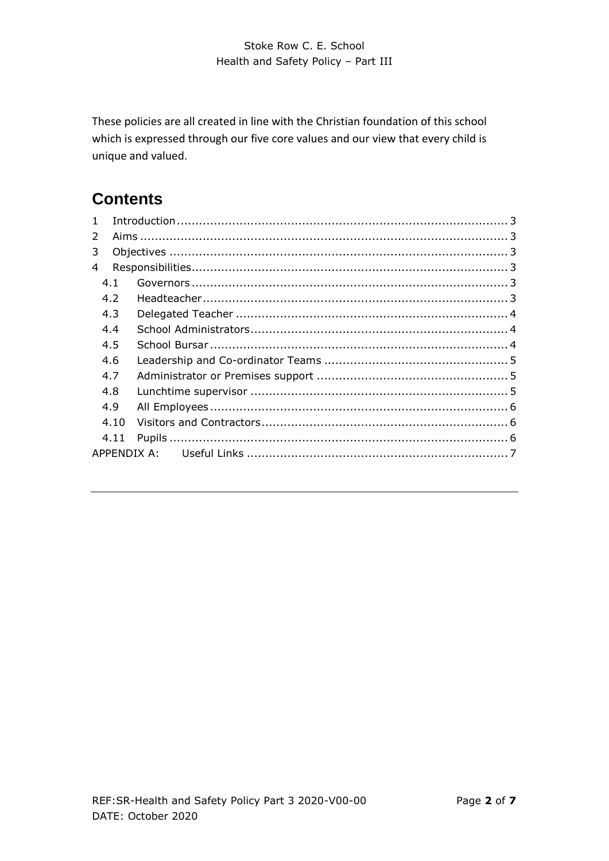These policies are all created in line with the Christian foundation of this school which is expressed through our five core values and our view that every child is unique and valued.

# **Contents**

| 4.1  |  |
|------|--|
| 4.2  |  |
| 4.3  |  |
| 4.4  |  |
| 4.5  |  |
| 4.6  |  |
| 4.7  |  |
| 4.8  |  |
| 4.9  |  |
| 4.10 |  |
| 4.11 |  |
|      |  |
|      |  |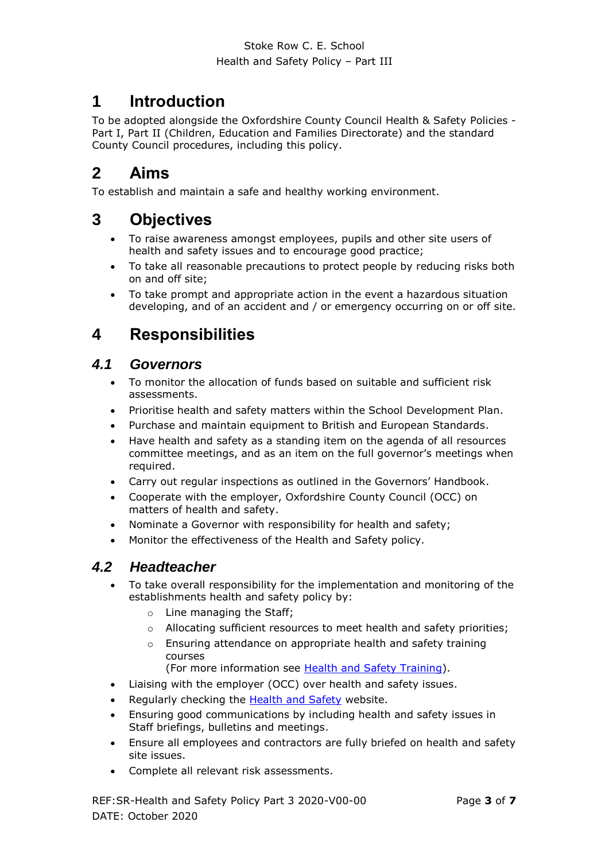## <span id="page-2-0"></span>**1 Introduction**

To be adopted alongside the Oxfordshire County Council Health & Safety Policies - Part I, Part II (Children, Education and Families Directorate) and the standard County Council procedures, including this policy.

## <span id="page-2-1"></span>**2 Aims**

To establish and maintain a safe and healthy working environment.

## <span id="page-2-2"></span>**3 Objectives**

- To raise awareness amongst employees, pupils and other site users of health and safety issues and to encourage good practice;
- To take all reasonable precautions to protect people by reducing risks both on and off site;
- To take prompt and appropriate action in the event a hazardous situation developing, and of an accident and / or emergency occurring on or off site.

# <span id="page-2-3"></span>**4 Responsibilities**

## <span id="page-2-4"></span>*4.1 Governors*

- To monitor the allocation of funds based on suitable and sufficient risk assessments.
- Prioritise health and safety matters within the School Development Plan.
- Purchase and maintain equipment to British and European Standards.
- Have health and safety as a standing item on the agenda of all resources committee meetings, and as an item on the full governor's meetings when required.
- Carry out regular inspections as outlined in the Governors' Handbook.
- Cooperate with the employer, Oxfordshire County Council (OCC) on matters of health and safety.
- Nominate a Governor with responsibility for health and safety;
- Monitor the effectiveness of the Health and Safety policy.

## <span id="page-2-5"></span>*4.2 Headteacher*

- To take overall responsibility for the implementation and monitoring of the establishments health and safety policy by:
	- o Line managing the Staff;
	- $\circ$  Allocating sufficient resources to meet health and safety priorities;
	- o Ensuring attendance on appropriate health and safety training courses

(For more information see [Health and Safety Training\)](http://schools.oxfordshire.gov.uk/cms/sites/schools/files/folders/folders/documents/healthandsafety/proceduresaz/Training_and_Competence.pdf).

- Liaising with the employer (OCC) over health and safety issues.
- Regularly checking the [Health and Safety](http://schools.oxfordshire.gov.uk/cms/content/health-and-safety) website.
- Ensuring good communications by including health and safety issues in Staff briefings, bulletins and meetings.
- Ensure all employees and contractors are fully briefed on health and safety site issues.
- Complete all relevant risk assessments.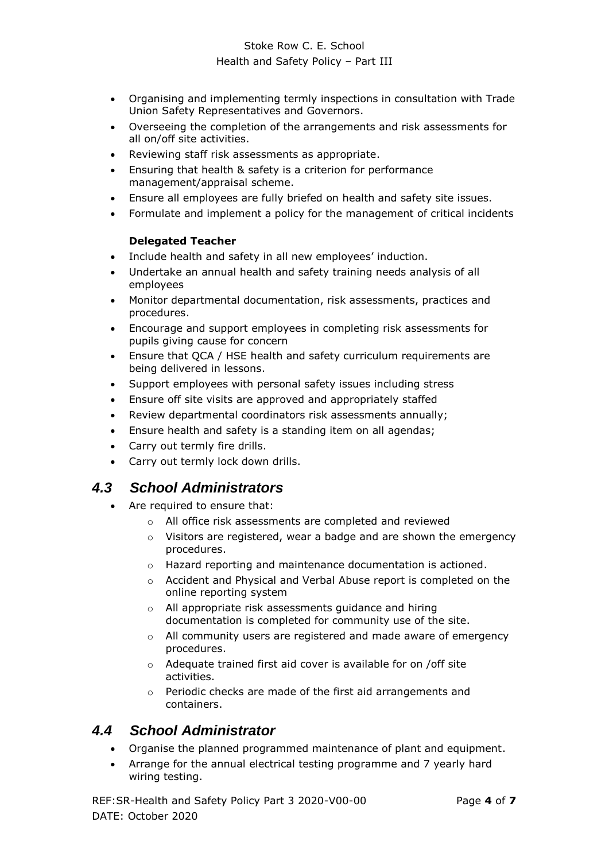#### Stoke Row C. E. School Health and Safety Policy – Part III

- Organising and implementing termly inspections in consultation with Trade Union Safety Representatives and Governors.
- Overseeing the completion of the arrangements and risk assessments for all on/off site activities.
- Reviewing staff risk assessments as appropriate.
- Ensuring that health & safety is a criterion for performance management/appraisal scheme.
- Ensure all employees are fully briefed on health and safety site issues.
- <span id="page-3-0"></span>Formulate and implement a policy for the management of critical incidents

#### **Delegated Teacher**

- Include health and safety in all new employees' induction.
- Undertake an annual health and safety training needs analysis of all employees
- Monitor departmental documentation, risk assessments, practices and procedures.
- Encourage and support employees in completing risk assessments for pupils giving cause for concern
- Ensure that QCA / HSE health and safety curriculum requirements are being delivered in lessons.
- Support employees with personal safety issues including stress
- Ensure off site visits are approved and appropriately staffed
- Review departmental coordinators risk assessments annually;
- Ensure health and safety is a standing item on all agendas;
- Carry out termly fire drills.
- Carry out termly lock down drills.

## <span id="page-3-1"></span>*4.3 School Administrators*

- Are required to ensure that:
	- o All office risk assessments are completed and reviewed
	- $\circ$  Visitors are registered, wear a badge and are shown the emergency procedures.
	- o Hazard reporting and maintenance documentation is actioned.
	- o Accident and Physical and Verbal Abuse report is completed on the online reporting system
	- o All appropriate risk assessments guidance and hiring documentation is completed for community use of the site.
	- $\circ$  All community users are registered and made aware of emergency procedures.
	- o Adequate trained first aid cover is available for on /off site activities.
	- o Periodic checks are made of the first aid arrangements and containers.

#### <span id="page-3-2"></span>*4.4 School Administrator*

- Organise the planned programmed maintenance of plant and equipment.
- Arrange for the annual electrical testing programme and 7 yearly hard wiring testing.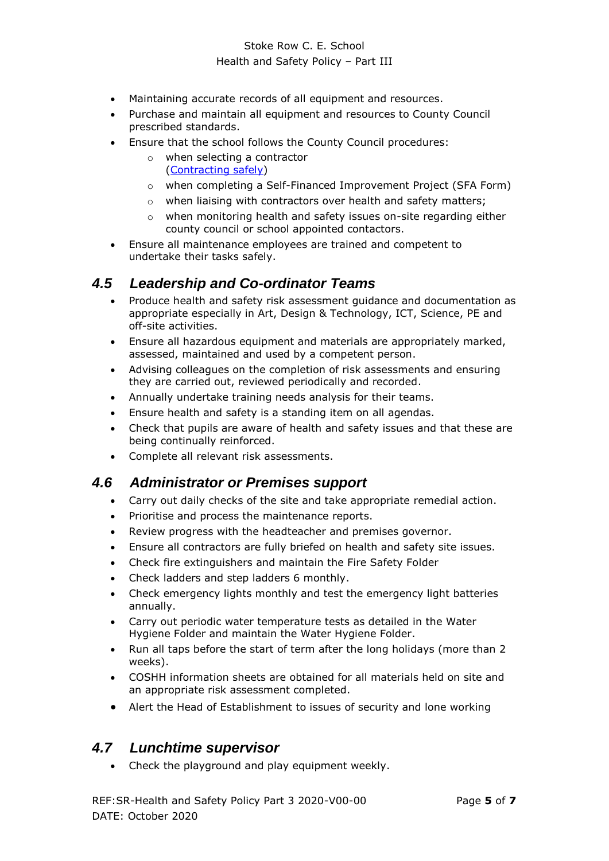#### Stoke Row C. E. School Health and Safety Policy – Part III

- Maintaining accurate records of all equipment and resources.
- Purchase and maintain all equipment and resources to County Council prescribed standards.
- Ensure that the school follows the County Council procedures:
	- o when selecting a contractor [\(Contracting safely\)](http://schools.oxfordshire.gov.uk/cms/sites/schools/files/folders/folders/documents/healthandsafety/proceduresaz/Contracting_Safely.pdf)
	- o when completing a Self-Financed Improvement Project (SFA Form)
	- o when liaising with contractors over health and safety matters;
	- o when monitoring health and safety issues on-site regarding either county council or school appointed contactors.
- Ensure all maintenance employees are trained and competent to undertake their tasks safely.

## <span id="page-4-0"></span>*4.5 Leadership and Co-ordinator Teams*

- Produce health and safety risk assessment guidance and documentation as appropriate especially in Art, Design & Technology, ICT, Science, PE and off-site activities.
- Ensure all hazardous equipment and materials are appropriately marked, assessed, maintained and used by a competent person.
- Advising colleagues on the completion of risk assessments and ensuring they are carried out, reviewed periodically and recorded.
- Annually undertake training needs analysis for their teams.
- Ensure health and safety is a standing item on all agendas.
- Check that pupils are aware of health and safety issues and that these are being continually reinforced.
- Complete all relevant risk assessments.

#### <span id="page-4-1"></span>*4.6 Administrator or Premises support*

- Carry out daily checks of the site and take appropriate remedial action.
- Prioritise and process the maintenance reports.
- Review progress with the headteacher and premises governor.
- Ensure all contractors are fully briefed on health and safety site issues.
- Check fire extinguishers and maintain the Fire Safety Folder
- Check ladders and step ladders 6 monthly.
- Check emergency lights monthly and test the emergency light batteries annually.
- Carry out periodic water temperature tests as detailed in the Water Hygiene Folder and maintain the Water Hygiene Folder.
- Run all taps before the start of term after the long holidays (more than 2 weeks).
- COSHH information sheets are obtained for all materials held on site and an appropriate risk assessment completed.
- Alert the Head of Establishment to issues of security and lone working

## <span id="page-4-2"></span>*4.7 Lunchtime supervisor*

• Check the playground and play equipment weekly.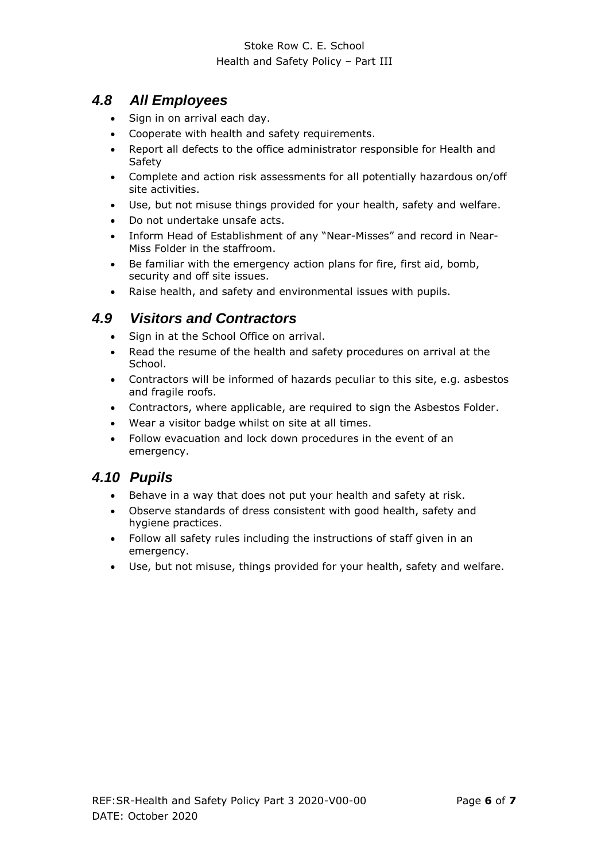#### Stoke Row C. E. School Health and Safety Policy – Part III

## <span id="page-5-0"></span>*4.8 All Employees*

- Sign in on arrival each day.
- Cooperate with health and safety requirements.
- Report all defects to the office administrator responsible for Health and Safety
- Complete and action risk assessments for all potentially hazardous on/off site activities.
- Use, but not misuse things provided for your health, safety and welfare.
- Do not undertake unsafe acts.
- Inform Head of Establishment of any "Near-Misses" and record in Near-Miss Folder in the staffroom.
- Be familiar with the emergency action plans for fire, first aid, bomb, security and off site issues.
- Raise health, and safety and environmental issues with pupils.

## <span id="page-5-1"></span>*4.9 Visitors and Contractors*

- Sign in at the School Office on arrival.
- Read the resume of the health and safety procedures on arrival at the School.
- Contractors will be informed of hazards peculiar to this site, e.g. asbestos and fragile roofs.
- Contractors, where applicable, are required to sign the Asbestos Folder.
- Wear a visitor badge whilst on site at all times.
- Follow evacuation and lock down procedures in the event of an emergency.

#### <span id="page-5-2"></span>*4.10 Pupils*

- Behave in a way that does not put your health and safety at risk.
- Observe standards of dress consistent with good health, safety and hygiene practices.
- Follow all safety rules including the instructions of staff given in an emergency.
- Use, but not misuse, things provided for your health, safety and welfare.